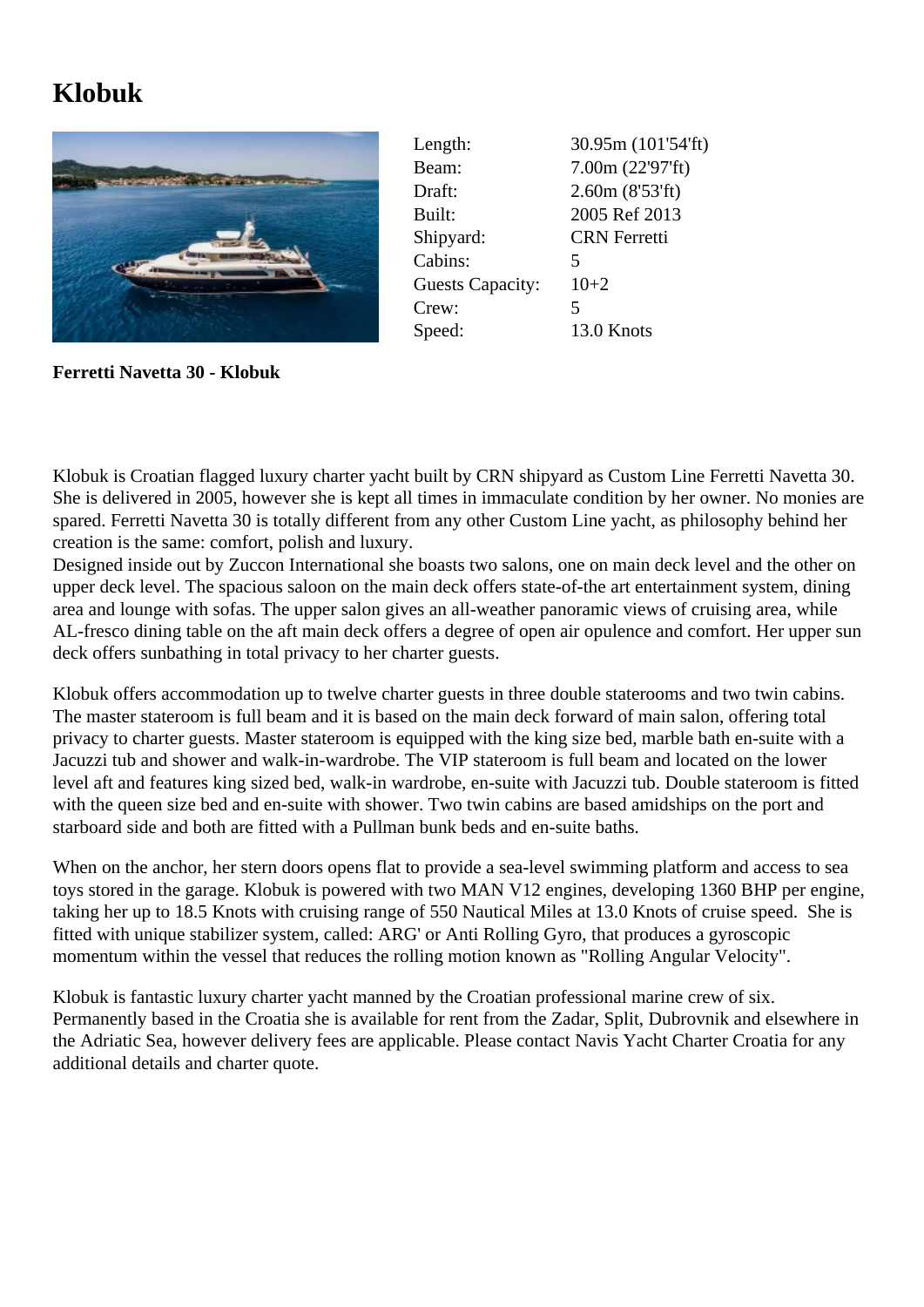## **Klobuk**



Length: 30.95m (101'54'ft) Beam: 7.00m (22'97'ft) Draft: 2.60m (8'53'ft) Built: 2005 Ref 2013 Shipyard: CRN Ferretti Cabins: 5 Guests Capacity: 10+2 Crew: 5 Speed: 13.0 Knots

**Ferretti Navetta 30 - Klobuk**

Klobuk is Croatian flagged luxury charter yacht built by CRN shipyard as Custom Line Ferretti Navetta 30. She is delivered in 2005, however she is kept all times in immaculate condition by her owner. No monies are spared. Ferretti Navetta 30 is totally different from any other Custom Line yacht, as philosophy behind her creation is the same: comfort, polish and luxury.

Designed inside out by Zuccon International she boasts two salons, one on main deck level and the other on upper deck level. The spacious saloon on the main deck offers state-of-the art entertainment system, dining area and lounge with sofas. The upper salon gives an all-weather panoramic views of cruising area, while AL-fresco dining table on the aft main deck offers a degree of open air opulence and comfort. Her upper sun deck offers sunbathing in total privacy to her charter guests.

Klobuk offers accommodation up to twelve charter guests in three double staterooms and two twin cabins. The master stateroom is full beam and it is based on the main deck forward of main salon, offering total privacy to charter guests. Master stateroom is equipped with the king size bed, marble bath en-suite with a Jacuzzi tub and shower and walk-in-wardrobe. The VIP stateroom is full beam and located on the lower level aft and features king sized bed, walk-in wardrobe, en-suite with Jacuzzi tub. Double stateroom is fitted with the queen size bed and en-suite with shower. Two twin cabins are based amidships on the port and starboard side and both are fitted with a Pullman bunk beds and en-suite baths.

When on the anchor, her stern doors opens flat to provide a sea-level swimming platform and access to sea toys stored in the garage. Klobuk is powered with two MAN V12 engines, developing 1360 BHP per engine, taking her up to 18.5 Knots with cruising range of 550 Nautical Miles at 13.0 Knots of cruise speed. She is fitted with unique stabilizer system, called: ARG' or Anti Rolling Gyro, that produces a gyroscopic momentum within the vessel that reduces the rolling motion known as "Rolling Angular Velocity".

Klobuk is fantastic luxury charter yacht manned by the Croatian professional marine crew of six. Permanently based in the Croatia she is available for rent from the Zadar, Split, Dubrovnik and elsewhere in the Adriatic Sea, however delivery fees are applicable. Please contact Navis Yacht Charter Croatia for any additional details and charter quote.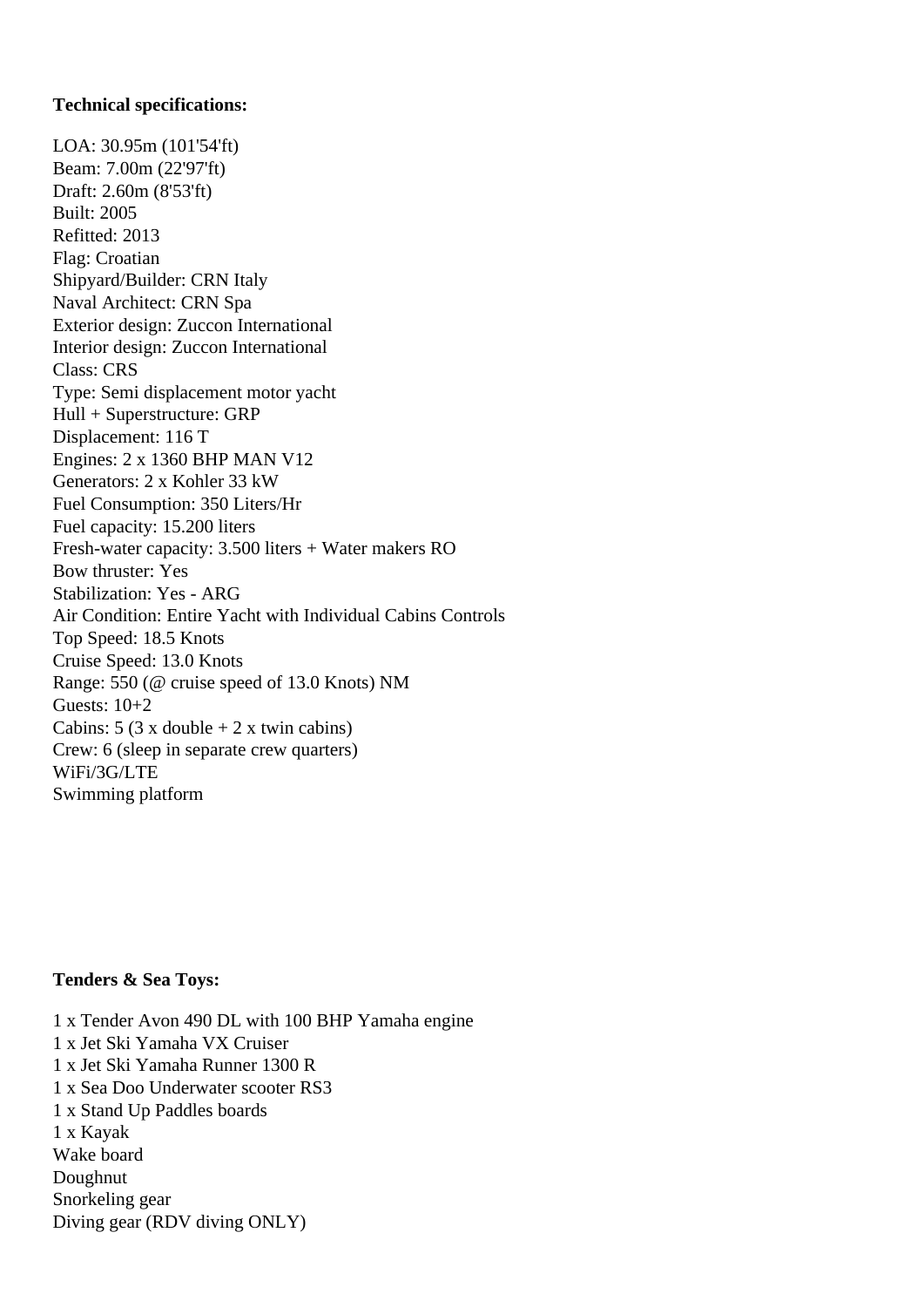## **Technical specifications:**

LOA: 30.95m (101'54'ft) Beam: 7.00m (22'97'ft) Draft: 2.60m (8'53'ft) Built: 2005 Refitted: 2013 Flag: Croatian Shipyard/Builder: CRN Italy Naval Architect: CRN Spa Exterior design: Zuccon International Interior design: Zuccon International Class: CRS Type: Semi displacement motor yacht Hull + Superstructure: GRP Displacement: 116 T Engines: 2 x 1360 BHP MAN V12 Generators: 2 x Kohler 33 kW Fuel Consumption: 350 Liters/Hr Fuel capacity: 15.200 liters Fresh-water capacity: 3.500 liters + Water makers RO Bow thruster: Yes Stabilization: Yes - ARG Air Condition: Entire Yacht with Individual Cabins Controls Top Speed: 18.5 Knots Cruise Speed: 13.0 Knots Range: 550 (@ cruise speed of 13.0 Knots) NM Guests: 10+2 Cabins:  $5(3 \times \text{double} + 2 \times \text{twin cabins})$ Crew: 6 (sleep in separate crew quarters) WiFi/3G/LTE Swimming platform

## **Tenders & Sea Toys:**

1 x Tender Avon 490 DL with 100 BHP Yamaha engine 1 x Jet Ski Yamaha VX Cruiser 1 x Jet Ski Yamaha Runner 1300 R 1 x Sea Doo Underwater scooter RS3 1 x Stand Up Paddles boards 1 x Kayak Wake board Doughnut Snorkeling gear Diving gear (RDV diving ONLY)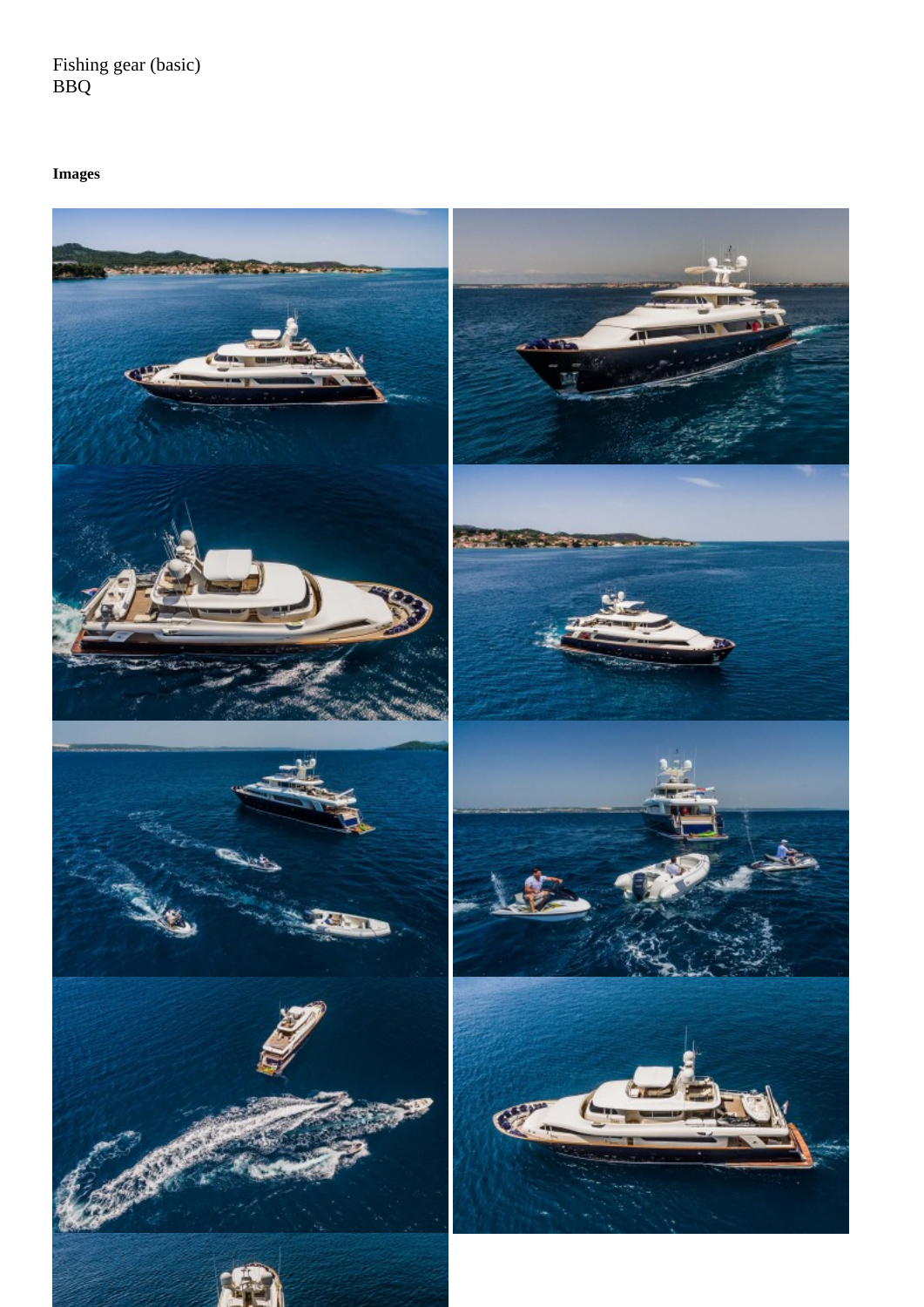BBQ

Images